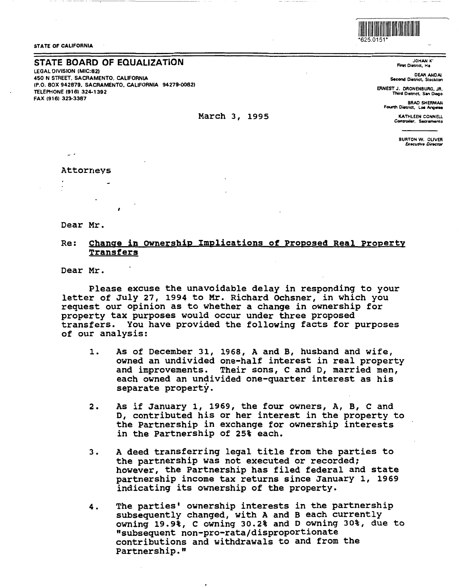STATE OF CALIFORNIA

# STATE BOARD OF EQUALIZATION

LEGAL DIVISION (MIC:821 450 N STREET, SACRAMENTO, CALIFORNIA (P.O. BOX 942879, SACRAMENTO, CALIFORNIA 94279-00821 TELEPHONE (9161 324-1392 FAX (9161 323-3387

- -------- --------~

#### March 3, 1995

Dear Mr.

Attorneys

## Re: Change in ownership Implications of Proposed Real Property **Transfers**

Dear Mr.

Please excuse the unavoidable delay in responding to your letter of July 27, 1994 to Mr. Richard Ochsner, in which you request our opinion as to whether a change in ownership for property tax purposes would occur under three proposed transfers. You have provided the following facts for purposes of our analysis:

- 1. As of December 31, 1968, A and B, husband and wife, owned an undivided one-half interest in real property and improvements. Their sons, C and D, married men, each owned an undivided one-quarter interest as his separate property.
- 2. As if January 1, 1969, the four owners, A, B, c and D, contributed his or her interest in the property to the Partnership in exchange for ownership interests in the Partnership of 25% each.
- 3. A deed transferring legal title from the parties to the partnership was not executed or recorded; however, the Partnership has filed federal and state partnership income tax returns since January 1, 1969 indicating its ownership of the property.
- 4. The parties• ownership interests in the partnership subsequently changed, with A and B each currently owning 19.9%, C owning 30.2% and Downing 30%, due to "subsequent non-pro-rata/disproportionate contributions and withdrawals to and from the Partnership."

11111111111111111111111111111111111111111111111111 \*625.0151\*

JOHAN K' Fnt District, Ha

DEAN ANDA! Second District, Stockton

ERNEST J. DRONENBURG, JR. Third Dietrict, San Diego

> BRAD SHERMAN Fourth District, Los Ange

> > KATHLEEN CONNEU Conrroller, Sacramento

> > > BURTON W. OLIVER *Executive Director*

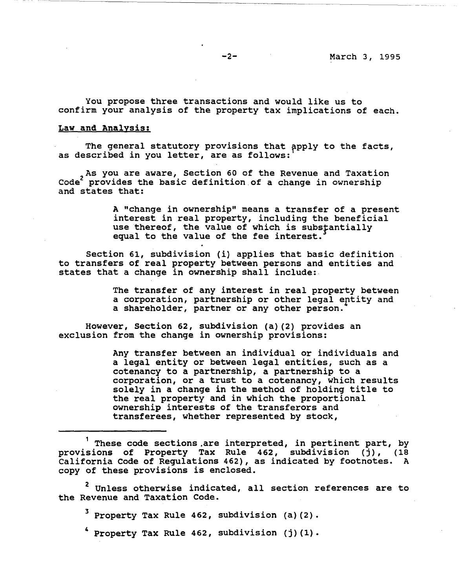You propose three transactions and would like us to confirm your analysis of the property tax implications of each.

# **Law and Analysis:**

The general statutory provisions that apply to the facts, as described in you letter, are as follows:

As you are aware, Section 60 of the Revenue and Taxation<br>Code<sup>2</sup> provides the basic definition of a change in ownership and states that:

> A "change in ownership" means a transfer of a present interest in real property, including the beneficial use thereof, the value of which is substantially equal to the value of the fee interest.

Section 61, subdivision (i) applies that basic definition to transfers of real property between persons and entities and states that a change in ownership shall include:.

> The transfer of any interest in real property between a corporation, partnership or other legal entity and a shareholder, partner or any other person.

However, Section 62, subdivision (a) (2) provides an exclusion from the change in ownership provisions:

> Any transfer between an individual or individuals and a legal entity or between legal entities, such as a cotenancy to a partnership, a partnership to a corporation, or a trust to a cotenancy, which results solely in a change in the method of holding title to the real property and in which the proportional ownership interests of the transferors and transferees, whether represented by stock,

<sup>2</sup> Unless otherwise indicated, all section references are to the Revenue and Taxation Code.

Property Tax Rule 462, subdivision (a)(2).

Property Tax Rule 462, subdivision  $(j)$  (1).

These code sections.are interpreted, in pertinent part, by provisions of Property Tax Rule 462, subdivision (j), (18 California Code of Regulations 462), as indicated by footnotes. A copy of these provisions is enclosed.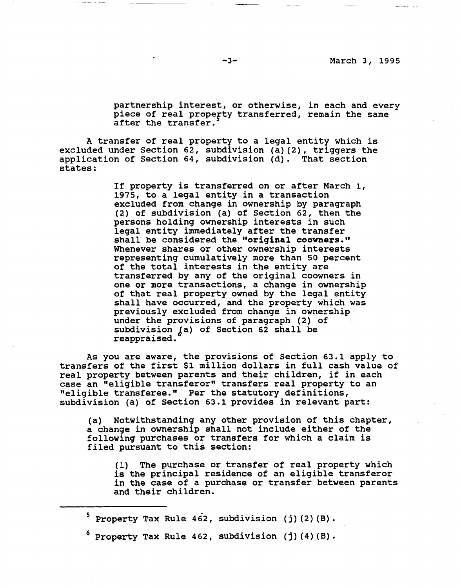partnership interest, or otherwise, in each and every piece of real property transferred, remain the same after the transfer.

A transfer of real property to a legal entity which is excluded under Section 62, subdivision (a) (2), triggers the application of Section 64, subdivision (d). That section states:

> If property is transferred on or after March 1, 1975, to a legal entity in a transaction excluded from change in ownership by paragraph (2) of subdivision (a) of Section 62, then the persons holding ownership interests in such legal entity immediately after the transfer shall be considered the **"original coowners."**  Whenever shares or other ownership interests representing cumulatively more than so percent of the total interests in the entity are transferred by any of the original coowners in one or more transactions, a change in ownership of that real property owned by the legal entity shall have occurred, and the property which was previously excluded from change in ownership under the provisions of paragraph (2) of subdivision (a) of Section 62 shall be reappraised.

As you are aware, the provisions of Section 63.l apply to transfers of the first \$1 million dollars in full cash value of real property between parents and their children, if in each case an "eligible transferor" transfers real property to an "eligible transferee." Per the statutory definitions, subdivision (a) of Section 63.1 provides in relevant part:

(a) Notwithstanding any other provision of this chapter, a change in ownership shall not include either of the following purchases or transfers for which a claim is filed pursuant to this section:

(1) The purchase or transfer of real property which is the principal residence of an eligible transferor in the case of a purchase or transfer between parents and their children.

 $5$  Property Tax Rule 462, subdivision (j)(2)(B).

Property Tax Rule 462, subdivision (j) (4) (B).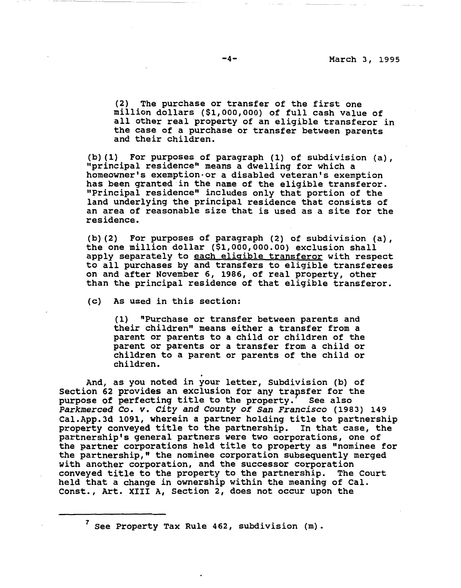(2) The purchase or transfer of the first one million dollars (\$1,000,000) of full cash value of all other real property of an eligible transferor in the case of a purchase or transfer between parents and their children.

(b) (1) For purposes of paragraph (1) of subdivision (a), "principal residence" means a dwelling for which a homeowner's exemption-or a disabled veteran's exemption has been granted in the name of the eligible transferor. "Principal residence" includes only that portion of the land underlying the principal residence that consists of an area of reasonable size that is used as a site for the residence.

(b) (2) For purposes of paragraph (2) of subdivision (a), the one million dollar (\$[1,000,000.00](https://1,000,000.00)) exclusion shall apply separately to each eligible transferor with respect to all purchases by and transfers to eligible transferees on and after November 6, 1986, of real property, other than the principal residence of that eligible transferor.

(c) As used in this section:

--- -------~----- - ~~~

(1) "Purchase or transfer between parents and their children" means either a transfer from a parent or parents to a child or children of the parent or parents or a transfer from a child or children to a parent or parents of the child or children.

. And, as you noted in your letter, Subdivision (b) of Section 62 provides an exclusion for any transfer for the<br>purpose of perfecting title to the property. See also purpose of perfecting title to the property. *Parkmerced Co. v. City and County of San Francisco* (1983) 149 [Cal.App.Jd](https://Cal.App.Jd) 1091, wherein a partner holding title to partnership property conveyed title to the partnership. In that case, the partnership's general partners were two corporations, one of the partner corporations held title to property as "nominee for the partnership," the nominee corporation subsequently merged with another corporation, and the successor corporation conveyed title to the property to the partnership. The Court held that a change in ownership within the meaning of Cal. Const., Art. XIII A, Section 2, does not occur upon the

 $<sup>7</sup>$  See Property Tax Rule 462, subdivision (m).</sup>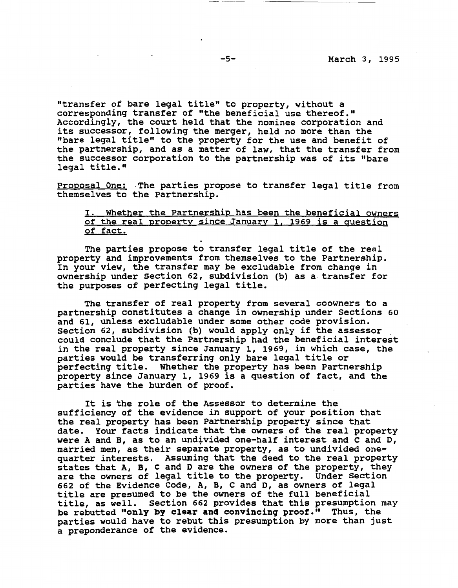"transfer of bare legal title" to property, without a corresponding transfer of "the beneficial use thereof." Accordingly, the court held that the nominee corporation and its successor, following the merger, held no more than the "bare legal title" to the property for the use and benefit of the partnership, and as a matter of law, that the transfer from the successor corporation to the partnership was of its "bare legal title."

Proposal One: The parties propose to transfer legal title from themselves to the Partnership.

# I. Whether the Partnership has been the beneficial owners of the real property since January 1. 1969 is a question of fact.

The parties propose to transfer legal title of the real property and improvements from themselves to the Partnership. In your **view,** the transfer may be excludable from change in ownership under Section 62, subdivision (b) as a. transfer for the purposes of perfecting legal title.

The transfer of real property from several coowners to a partnership constitutes a change in ownership under Sections 60 and 61, unless excludable under some other code provision.<br>Section 62, subdivision (b) would apply only if the assessor could conclude that the Partnership had the beneficial interest in the real property since January 1, 1969, in which case, the parties would be transferring only bare legal title or perfecting title. Whether the property has been Partnership property since January 1, 1969 is a question of fact, and the parties have the burden of proof.

It is the role of the Assessor to determine the sufficiency of the evidence in support of your position that the real property has been Partnership property since that date. Your facts indicate that the owners of the real property were A and B, as to an undivided one-half interest and C and D. married men, as their separate property, as to undivided onemarried men, as energy separate property, as to undivided one quarter interests. Assuming that the deed to the real property states that **A, B,** C and Dare the owners of the property, they are the owners of legal title to the property. Under Section 662 of the Evidence Code, **A, B,** C and D, as owners of legal title are presumed to be the owners of the full beneficial title, as well. Section 662 provides that this presumption may be rebutted **"only by clear and convincing proof."** Thus, the parties would have to rebut this presumption by more than just a preponderance of the evidence.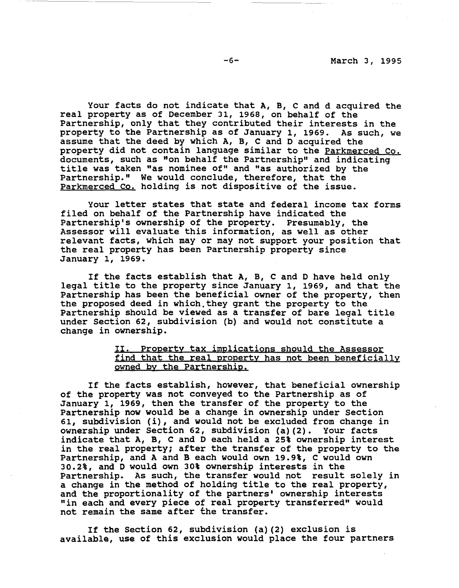Your facts do not indicate that A, B, C and d acquired the real property as of December 31, 1968, on behalf of the Partnership, only that they contributed their interests in the property to the Partnership as of January 1, 1969. As such, we assume that the deed by which A, B, C and D acquired the property did not contain language similar to the Parkmerced Co. documents, such as "on behalf the Partnership" and indicating title was taken "as nominee of" and "as authorized by the Partnership." We would conclude, therefore, that the Parkmerced Co. holding is not dispositive of the issue.

Your letter states that state and federal income tax forms filed on behalf of the Partnership have indicated the Partnership's ownership of the property. Presumably, the Assessor will evaluate this information, as well as other relevant facts, which may or may not support your position that the real property has been Partnership property since January 1, 1969.

If the facts establish that A, B, C and D have held only If the facts establish that A, B, C and D have held only<br>legal title to the property since January 1, 1969, and that the Partnership has been the beneficial owner of the property, then the proposed deed in which.they grant the property to the Partnership should be viewed as a transfer of bare legal title under Section 62, subdivision (b} and would not constitute a change in ownership.

# II. Property tax implications should the Assessor find that the real property has not been beneficially owned by the Partnership.

If the facts establish, however, that beneficial ownership of the property was not conveyed to the Partnership as of January 1, 1969, then the transfer of the property to the Partnership now would be a change in ownership under Section 61, subdivision (i}, and would not be excluded from change in ownership under Section 62, subdivision (a}(2}. Your facts indicate that **A, B,** C and D each held a 25% ownership interest in the real property; after the transfer of the property to the Partnership, and A and B each would own 19.9%, C would own 30.2%, and D would own 30% ownership interests in the Partnership. As such, the transfer would not result solely in a change in the method of holding title to the real property, and the proportionality of the partners' ownership interests "in each and every piece of real property transferred" would not remain the same after the transfer.

If the Section 62, subdivision (a} (2} exclusion is available, use of this exclusion would place the four partners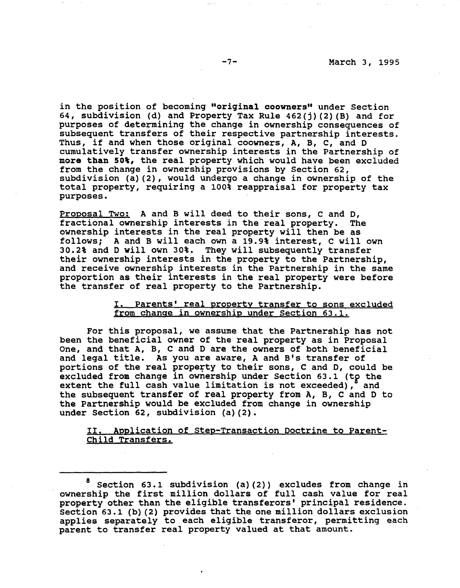in the position of becoming **"original coowners"** under Section 64, subdivision (d) and Property Tax Rule 462(j) (2) (B) and for purposes of determining the change in ownership consequences of subsequent transfers of their respective partnership interests. Thus, if and when those original coowners, A, B, *c,* and D cumulatively transfer ownership interests in the Partnership of **more than SO%,** the real property which would have been excluded from the change in ownership provisions by Section 62, subdivision (a) (2), would undergo a change in ownership of the total property, requiring a 100% reappraisal for property tax purposes.

Proposal Two: A and B will deed to their sons, *C* and D, fractional ownership interests in the real property. The ownership interests in the real property will then be as follows; A and B will each own a 19.9% interest, C will own 30.2% and D **will** own 30%. They will subsequently transfer their ownership interests in the property to the Partnership, and receive ownership interests in the Partnership in the same proportion as their interests in the real property were before the transfer of real property to the Partnership.

## I, Parents' real property transfer to sons excluded from change in ownership under Section 63.1.

For this proposal, we assume that the Partnership has not been the beneficial owner of the real property as in Proposal One, and that **A, B,** C and Dare the owners of both beneficial and legal title. As you are aware, A and B's transfer of portions of the real property to their sons, C and D, could be excluded from change in ownership under Section 63.1 (to the extent the full cash value limitation is not exceeded), and the subsequent transfer of real property from A, B, c and D to the Partnership would be excluded from change in ownership under Section 62, subdivision (a) (2).

II. Application of Step-Transaction Doctrine to Parent-Child Transfers.

Section 63.1 subdivision (a)(2)) excludes from change in ownership the first million dollars of full cash value for real property other than the eligible transferors' principal residence. Section 63.1 (b) (2) provides that the one million dollars exclusion applies separately to each eligible transferor, permitting each parent to transfer real property valued at that amount.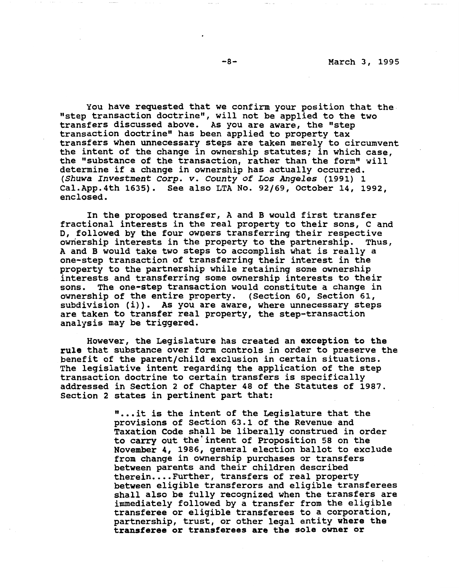You have requested that we confirm your position that the "step transaction doctrine", will not be applied to the two transfers discussed above. As you are aware, the "step transaction doctrine" has been applied to property tax transfers when unnecessary steps are taken merely to circumvent the intent of the change in ownership statutes; in which case, the "substance of the transaction, rather than the form" will determine if a change in ownership has actually occurred. *(Shuwa Investment Corp. v. County of Los Angeles* (1991) 1 Cal.App.4th 1635). See also LTA No. 92/69, October 14, 1992, enclosed.

In the proposed transfer, A and B would first transfer fractional interests in the real property to their sons, c and D, followed by the four owners transferring their respective ownership interests in the property to the partnership. Thus, A and B would **take** two steps to accomplish what is really a one-step transaction of transferring their interest in the property to the partnership while retaining some ownership interests and transferring some ownership interests to their sons. The one-step transaction would constitute a change in ownership of the entire property. (Section 60, Section 61, subdivision (i)). As you are aware, where unnecessary steps are taken to transfer real property, the step-transaction analysis may be triggered.

However, the Legislature has created an **exception to the rule** that substance over form controls in order to preserve the benefit of the parent/child exclusion in certain situations. The legislative intent regarding the application of the step transaction doctrine to certain transfers is specifically addressed in Section 2 of Chapter 48 of the Statutes of 1987. Section 2 states in pertinent part that:

> "...it is the intent of the Legislature that the provisions of Section 63.1 of the Revenue and Taxation Code shall be liberally construed in order to carry out the'intent of Proposition 58 on the November 4, 1986, general election ballot to exclude from change in ownership purchases or transfers between parents and their children described therein....Further, transfers of real property between eligible transferors and eligible transferees shall also be fully recognized when the transfers are immediately followed by a transfer from the eligible transferee or eligible transferees to a corporation, partnership, trust, or other legal entity **where the transferee or transferees are the sole owner or**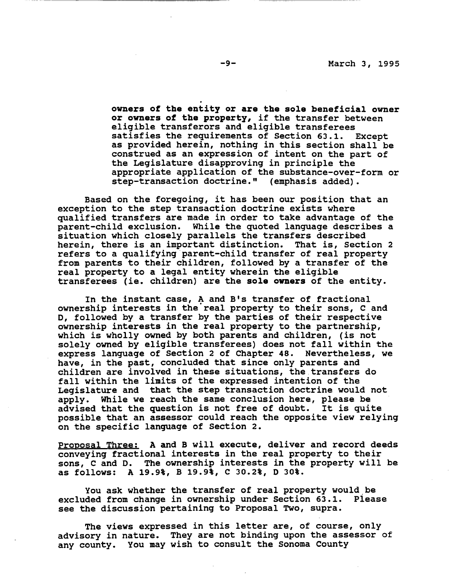. **owners of the entity or are the sole beneficial owner or owners of the property,** if the transfer between eligible transferors and eligible transferees satisfies the requirements of Section 63.1. Except as provided herein, nothing in this section shall be construed as an expression of intent on the part of the Legislature disapproving in principle the appropriate application of the substance-over-form or step-transaction doctrine." (emphasis added).

Based on the foregoing, it has been our position that an exception to the step transaction doctrine exists where qualified transfers are made in order to take advantage of the parent-child exclusion. While the quoted language describes a situation which closely parallels the transfers described herein, there is an important distinction. That is, Section 2 refers to a qualifying parent-child transfer of real property from parents to their children, followed by a transfer of the real property to a legal entity wherein the eligible transferees (ie. children) are the **sole owners** of the entity.

In the instant case, A and B's transfer of fractional ownership interests in the'real property to their sons, *C* and D, followed by a transfer by the parties of their respective ownership interests in the real property to the partnership, which is wholly owned by both parents and children, (is not solely owned by eligible transferees) does not fall within the express language of Section 2 of Chapter 48. Nevertheless, we have, in the past, concluded that since only parents and children are involved in these situations, the transfers do fall within the limits of the expressed intention of the Legislature and that the step transaction doctrine would not apply. While we reach the same conclusion here, please be advised that the question is not free of doubt. It is quite possible that an assessor could reach the opposite view relying on the specific language of Section 2.

Proposal Three: **A and B** will execute, deliver and record deeds conveying fractional interests in the real property to their sons, c and D. The ownership interests in the property will be as follows: **A 19.91, B** 19.91, C 30.2%, D 30%.

You ask whether the transfer of real property would be<br>ded from change in ownership under Section 63.1. Please excluded from change in ownership under Section 63.1. see the discussion pertaining to Proposal Two, supra.

The views expressed in this letter are, of course, only advisory in nature. They are not binding upon the assessor of any county. You may wish to consult the Sonoma County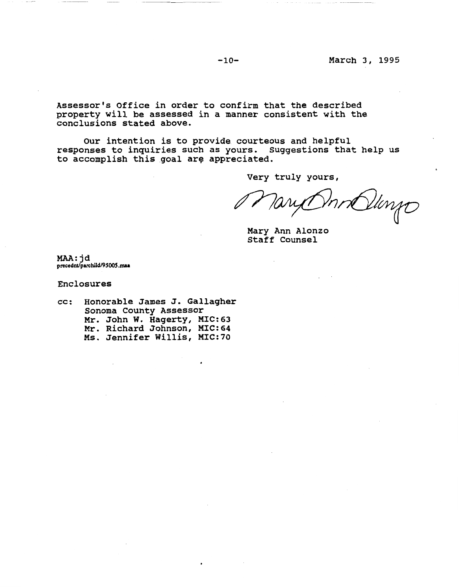-10- March 3, 1995

Assessor's Office in order to confirm that the described property will be assessed in a manner consistent with the conclusions stated above.

Our intention is to provide courteous and helpful responses to inquiries such as yours. suggestions that help us to accomplish this goal are appreciated.

Very truly yours,

Vanjo Jari rt

Mary Ann Alonzo Staff counsel

MAA: jd **precednt/parchild/9S00S .mu** 

Enclosures

cc: Honorable James J. Gallagher Sonoma County Assessor Mr. John w. Hagerty, MIC:63 Mr. Richard Johnson, MIC:64 Ms. Jennifer Willis, MIC:70